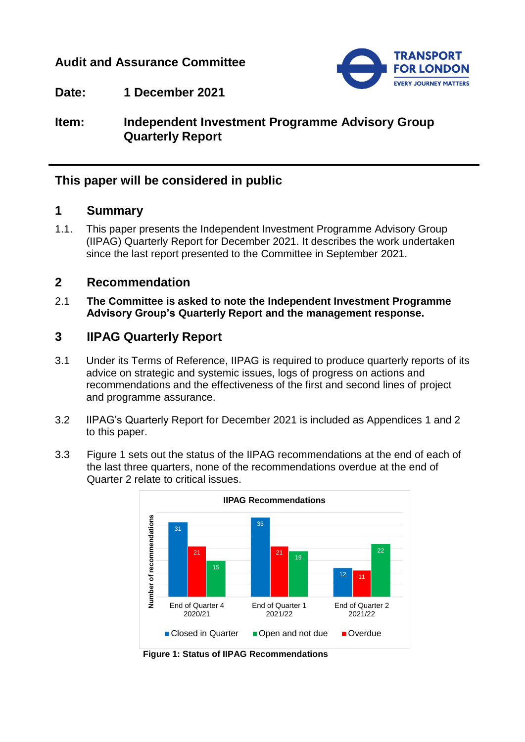## **Audit and Assurance Committee**



## **Date: 1 December 2021**

**Item: Independent Investment Programme Advisory Group Quarterly Report**

# **This paper will be considered in public**

### **1 Summary**

1.1. This paper presents the Independent Investment Programme Advisory Group (IIPAG) Quarterly Report for December 2021. It describes the work undertaken since the last report presented to the Committee in September 2021.

### **2 Recommendation**

2.1 **The Committee is asked to note the Independent Investment Programme Advisory Group's Quarterly Report and the management response.**

## **3 IIPAG Quarterly Report**

- 3.1 Under its Terms of Reference, IIPAG is required to produce quarterly reports of its advice on strategic and systemic issues, logs of progress on actions and recommendations and the effectiveness of the first and second lines of project and programme assurance.
- 3.2 IIPAG's Quarterly Report for December 2021 is included as Appendices 1 and 2 to this paper.
- 3.3 Figure 1 sets out the status of the IIPAG recommendations at the end of each of the last three quarters, none of the recommendations overdue at the end of Quarter 2 relate to critical issues.



**Figure 1: Status of IIPAG Recommendations**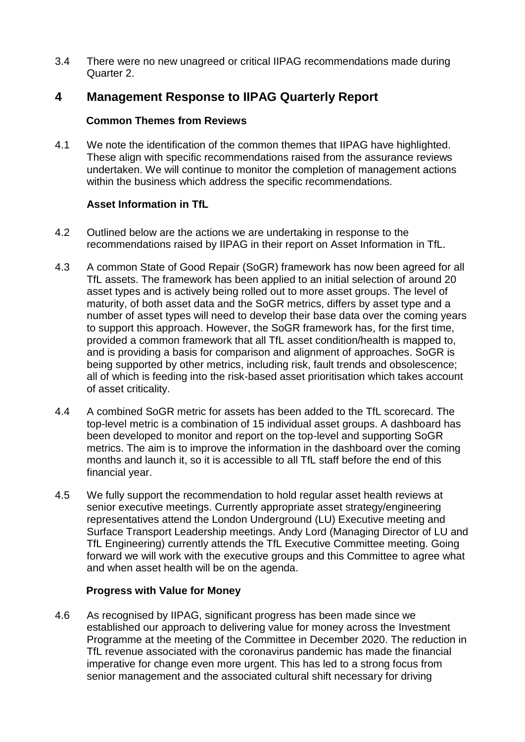3.4 There were no new unagreed or critical IIPAG recommendations made during Quarter 2.

# **4 Management Response to IIPAG Quarterly Report**

#### **Common Themes from Reviews**

4.1 We note the identification of the common themes that IIPAG have highlighted. These align with specific recommendations raised from the assurance reviews undertaken. We will continue to monitor the completion of management actions within the business which address the specific recommendations.

#### **Asset Information in TfL**

- 4.2 Outlined below are the actions we are undertaking in response to the recommendations raised by IIPAG in their report on Asset Information in TfL.
- 4.3 A common State of Good Repair (SoGR) framework has now been agreed for all TfL assets. The framework has been applied to an initial selection of around 20 asset types and is actively being rolled out to more asset groups. The level of maturity, of both asset data and the SoGR metrics, differs by asset type and a number of asset types will need to develop their base data over the coming years to support this approach. However, the SoGR framework has, for the first time, provided a common framework that all TfL asset condition/health is mapped to, and is providing a basis for comparison and alignment of approaches. SoGR is being supported by other metrics, including risk, fault trends and obsolescence; all of which is feeding into the risk-based asset prioritisation which takes account of asset criticality.
- 4.4 A combined SoGR metric for assets has been added to the TfL scorecard. The top-level metric is a combination of 15 individual asset groups. A dashboard has been developed to monitor and report on the top-level and supporting SoGR metrics. The aim is to improve the information in the dashboard over the coming months and launch it, so it is accessible to all TfL staff before the end of this financial year.
- 4.5 We fully support the recommendation to hold regular asset health reviews at senior executive meetings. Currently appropriate asset strategy/engineering representatives attend the London Underground (LU) Executive meeting and Surface Transport Leadership meetings. Andy Lord (Managing Director of LU and TfL Engineering) currently attends the TfL Executive Committee meeting. Going forward we will work with the executive groups and this Committee to agree what and when asset health will be on the agenda.

#### **Progress with Value for Money**

4.6 As recognised by IIPAG, significant progress has been made since we established our approach to delivering value for money across the Investment Programme at the meeting of the Committee in December 2020. The reduction in TfL revenue associated with the coronavirus pandemic has made the financial imperative for change even more urgent. This has led to a strong focus from senior management and the associated cultural shift necessary for driving